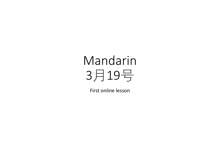## Mandarin 3月19号

First online lesson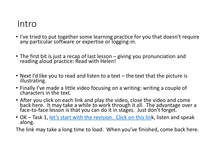## Intro

- I've tried to put together some learning practice for you that doesn't require any particular software or expertise or logging-in.
- The first bit is just a recap of last lesson giving you pronunciation and reading aloud practice: Read with Helen!
- Next I'd like you to read and listen to a text the text that the picture is illustrating.
- Finally I've made a little video focusing on a writing: writing a couple of characters in the text.
- After you click on each link and play the video, close the video and come back here. It may take a while to work through it all. The advantage over a face-to-face lesson is that you can do it in stages. Just don't forget.
- OK Task 1, <u>[let's start with the revision. Click on this lin](https://www.showme.com/sh?h=8K7gPWy)</u>k, listen and speak along.

The link may take a long time to load. When you've finished, come back here.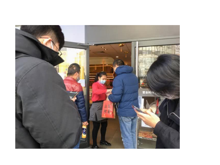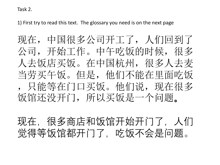Task 2.

1) First try to read this text. The glossary you need is on the next page

现在,中国很多公司开工了,人们回到了 公司,开始工作。中午吃饭的时候,很多 人去饭店买饭。在中国杭州,很多人去麦 当劳买午饭。但是,他们不能在里面吃饭 ,只能等在门口买饭。他们说,现在很多 饭馆还没开门,所以买饭是一个问题。

现在,很多商店和饭馆开始开门了,人们 觉得等饭馆都开门了,吃饭不会是问题。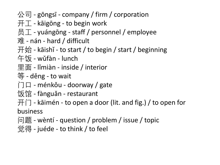- $\triangle$ 司 gōngsī company / firm / corporation
- $H \perp$  kāigōng to begin work
- 员工 yuángōng staff / personnel / employee
- 难 nán hard / difficult
- 开始 kāishǐ to start / to begin / start / beginning
- 午饭 wǔfàn lunch
- 里面 lǐmiàn inside / interior
- 等 děng to wait
- 门口 ménkǒu doorway / gate
- 饭馆 fànguǎn restaurant
- 开门 kāimén to open a door (lit. and fig.) / to open for business
- 问题 wèntí question / problem / issue / topic
- 觉得 juéde to think / to feel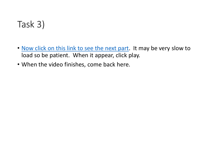## Task 3)

- [Now click on this link to see the next part.](https://www.showme.com/sh?h=jh4hVa4) It may be very slow to load so be patient. When it appear, click play.
- When the video finishes, come back here.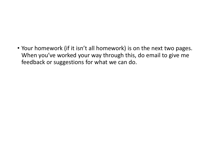• Your homework (if it isn't all homework) is on the next two pages. When you've worked your way through this, do email to give me feedback or suggestions for what we can do.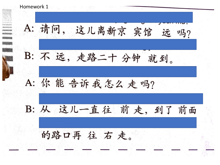Homework 1A: 请问, 这儿离新京 宾馆 远 吗? B: 不远, 走路二十分钟 就到。 A: 你能告诉我怎么走吗? B: 从 这儿一直往 前走, 到了 前面 的路口再往右走。